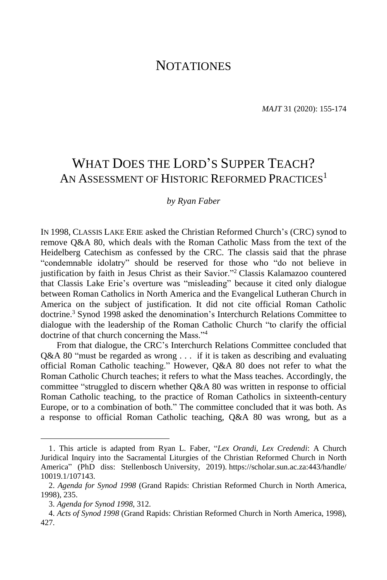# **NOTATIONES**

# WHAT DOES THE LORD'S SUPPER TEACH? AN ASSESSMENT OF HISTORIC REFORMED PRACTICES<sup>1</sup>

#### *by Ryan Faber*

IN 1998, CLASSIS LAKE ERIE asked the Christian Reformed Church's (CRC) synod to remove Q&A 80, which deals with the Roman Catholic Mass from the text of the Heidelberg Catechism as confessed by the CRC. The classis said that the phrase "condemnable idolatry" should be reserved for those who "do not believe in justification by faith in Jesus Christ as their Savior."<sup>2</sup> Classis Kalamazoo countered that Classis Lake Erie's overture was "misleading" because it cited only dialogue between Roman Catholics in North America and the Evangelical Lutheran Church in America on the subject of justification. It did not cite official Roman Catholic doctrine.<sup>3</sup> Synod 1998 asked the denomination's Interchurch Relations Committee to dialogue with the leadership of the Roman Catholic Church "to clarify the official doctrine of that church concerning the Mass."<sup>4</sup>

From that dialogue, the CRC's Interchurch Relations Committee concluded that Q&A 80 "must be regarded as wrong . . . if it is taken as describing and evaluating official Roman Catholic teaching." However, Q&A 80 does not refer to what the Roman Catholic Church teaches; it refers to what the Mass teaches. Accordingly, the committee "struggled to discern whether Q&A 80 was written in response to official Roman Catholic teaching, to the practice of Roman Catholics in sixteenth-century Europe, or to a combination of both." The committee concluded that it was both. As a response to official Roman Catholic teaching, Q&A 80 was wrong, but as a

<sup>1.</sup> This article is adapted from Ryan L. Faber, "*Lex Orandi, Lex Credendi*: A Church Juridical Inquiry into the Sacramental Liturgies of the Christian Reformed Church in North America" (PhD diss: Stellenbosch University, 2019). https://scholar.sun.ac.za:443/handle/ 10019.1/107143.

<sup>2.</sup> *Agenda for Synod 1998* (Grand Rapids: Christian Reformed Church in North America, 1998), 235.

<sup>3.</sup> *Agenda for Synod 1998*, 312.

<sup>4.</sup> *Acts of Synod 1998* (Grand Rapids: Christian Reformed Church in North America, 1998), 427.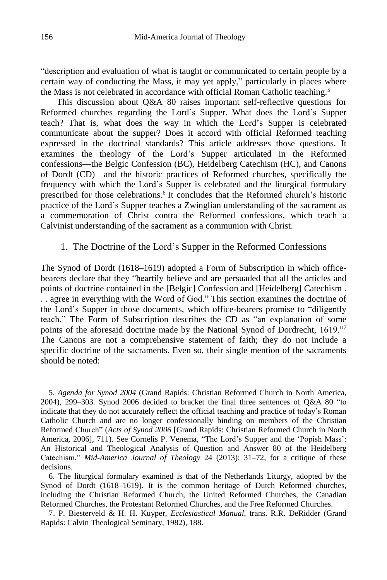"description and evaluation of what is taught or communicated to certain people by a certain way of conducting the Mass, it may yet apply," particularly in places where the Mass is not celebrated in accordance with official Roman Catholic teaching.<sup>5</sup>

This discussion about Q&A 80 raises important self-reflective questions for Reformed churches regarding the Lord's Supper. What does the Lord's Supper teach? That is, what does the way in which the Lord's Supper is celebrated communicate about the supper? Does it accord with official Reformed teaching expressed in the doctrinal standards? This article addresses those questions. It examines the theology of the Lord's Supper articulated in the Reformed confessions—the Belgic Confession (BC), Heidelberg Catechism (HC), and Canons of Dordt (CD)—and the historic practices of Reformed churches, specifically the frequency with which the Lord's Supper is celebrated and the liturgical formulary prescribed for those celebrations.<sup>6</sup> It concludes that the Reformed church's historic practice of the Lord's Supper teaches a Zwinglian understanding of the sacrament as a commemoration of Christ contra the Reformed confessions, which teach a Calvinist understanding of the sacrament as a communion with Christ.

# 1. The Doctrine of the Lord's Supper in the Reformed Confessions

The Synod of Dordt (1618–1619) adopted a Form of Subscription in which officebearers declare that they "heartily believe and are persuaded that all the articles and points of doctrine contained in the [Belgic] Confession and [Heidelberg] Catechism . . . agree in everything with the Word of God." This section examines the doctrine of the Lord's Supper in those documents, which office-bearers promise to "diligently teach." The Form of Subscription describes the CD as "an explanation of some points of the aforesaid doctrine made by the National Synod of Dordrecht, 1619."<sup>7</sup> The Canons are not a comprehensive statement of faith; they do not include a specific doctrine of the sacraments. Even so, their single mention of the sacraments should be noted:

<sup>5.</sup> *Agenda for Synod 2004* (Grand Rapids: Christian Reformed Church in North America, 2004), 299–303. Synod 2006 decided to bracket the final three sentences of Q&A 80 "to indicate that they do not accurately reflect the official teaching and practice of today's Roman Catholic Church and are no longer confessionally binding on members of the Christian Reformed Church" (*Acts of Synod 2006* [Grand Rapids: Christian Reformed Church in North America, 2006], 711). See Cornelis P. Venema, "The Lord's Supper and the 'Popish Mass': An Historical and Theological Analysis of Question and Answer 80 of the Heidelberg Catechism," *Mid-America Journal of Theology* 24 (2013): 31–72, for a critique of these decisions.

<sup>6.</sup> The liturgical formulary examined is that of the Netherlands Liturgy, adopted by the Synod of Dordt (1618–1619). It is the common heritage of Dutch Reformed churches, including the Christian Reformed Church, the United Reformed Churches, the Canadian Reformed Churches, the Protestant Reformed Churches, and the Free Reformed Churches.

<sup>7.</sup> P. Biesterveld & H. H. Kuyper, *Ecclesiastical Manual*, trans. R.R. DeRidder (Grand Rapids: Calvin Theological Seminary, 1982), 188.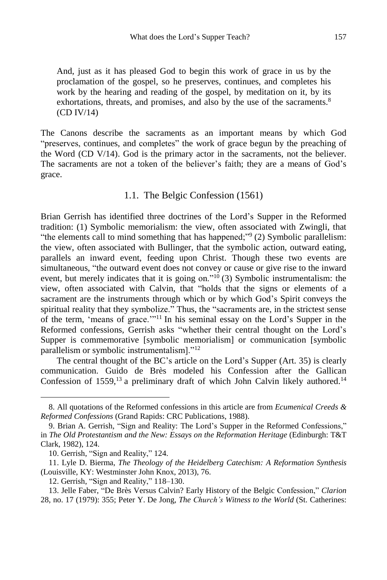And, just as it has pleased God to begin this work of grace in us by the proclamation of the gospel, so he preserves, continues, and completes his work by the hearing and reading of the gospel, by meditation on it, by its exhortations, threats, and promises, and also by the use of the sacraments.<sup>8</sup> (CD IV/14)

The Canons describe the sacraments as an important means by which God "preserves, continues, and completes" the work of grace begun by the preaching of the Word (CD V/14). God is the primary actor in the sacraments, not the believer. The sacraments are not a token of the believer's faith; they are a means of God's grace.

1.1. The Belgic Confession (1561)

Brian Gerrish has identified three doctrines of the Lord's Supper in the Reformed tradition: (1) Symbolic memorialism: the view, often associated with Zwingli, that "the elements call to mind something that has happened;"<sup>9</sup> (2) Symbolic parallelism: the view, often associated with Bullinger, that the symbolic action, outward eating, parallels an inward event, feeding upon Christ. Though these two events are simultaneous, "the outward event does not convey or cause or give rise to the inward event, but merely indicates that it is going on." $10$ <sup>(3)</sup> Symbolic instrumentalism: the view, often associated with Calvin, that "holds that the signs or elements of a sacrament are the instruments through which or by which God's Spirit conveys the spiritual reality that they symbolize." Thus, the "sacraments are, in the strictest sense of the term, 'means of grace.'"<sup>11</sup> In his seminal essay on the Lord's Supper in the Reformed confessions, Gerrish asks "whether their central thought on the Lord's Supper is commemorative [symbolic memorialism] or communication [symbolic parallelism or symbolic instrumentalism]."<sup>12</sup>

The central thought of the BC's article on the Lord's Supper (Art. 35) is clearly communication. Guido de Brès modeled his Confession after the Gallican Confession of  $1559$ ,<sup>13</sup> a preliminary draft of which John Calvin likely authored.<sup>14</sup>

<sup>8.</sup> All quotations of the Reformed confessions in this article are from *Ecumenical Creeds & Reformed Confessions* (Grand Rapids: CRC Publications, 1988).

<sup>9.</sup> Brian A. Gerrish, "Sign and Reality: The Lord's Supper in the Reformed Confessions," in *The Old Protestantism and the New: Essays on the Reformation Heritage* (Edinburgh: T&T Clark, 1982), 124.

<sup>10.</sup> Gerrish, "Sign and Reality," 124.

<sup>11.</sup> Lyle D. Bierma, *The Theology of the Heidelberg Catechism: A Reformation Synthesis* (Louisville, KY: Westminster John Knox, 2013), 76.

<sup>12.</sup> Gerrish, "Sign and Reality," 118–130.

<sup>13.</sup> Jelle Faber, "De Brès Versus Calvin? Early History of the Belgic Confession," *Clarion* 28, no. 17 (1979): 355; Peter Y. De Jong, *The Church's Witness to the World* (St. Catherines: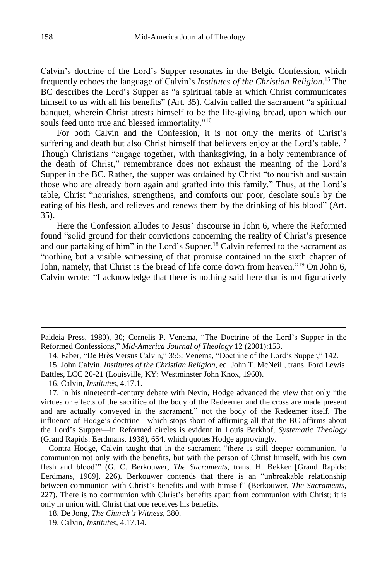Calvin's doctrine of the Lord's Supper resonates in the Belgic Confession, which frequently echoes the language of Calvin's *Institutes of the Christian Religion*. <sup>15</sup> The BC describes the Lord's Supper as "a spiritual table at which Christ communicates himself to us with all his benefits" (Art. 35). Calvin called the sacrament "a spiritual banquet, wherein Christ attests himself to be the life-giving bread, upon which our souls feed unto true and blessed immortality."<sup>16</sup>

For both Calvin and the Confession, it is not only the merits of Christ's suffering and death but also Christ himself that believers enjoy at the Lord's table.<sup>17</sup> Though Christians "engage together, with thanksgiving, in a holy remembrance of the death of Christ," remembrance does not exhaust the meaning of the Lord's Supper in the BC. Rather, the supper was ordained by Christ "to nourish and sustain those who are already born again and grafted into this family." Thus, at the Lord's table, Christ "nourishes, strengthens, and comforts our poor, desolate souls by the eating of his flesh, and relieves and renews them by the drinking of his blood" (Art. 35).

Here the Confession alludes to Jesus' discourse in John 6, where the Reformed found "solid ground for their convictions concerning the reality of Christ's presence and our partaking of him" in the Lord's Supper.<sup>18</sup> Calvin referred to the sacrament as "nothing but a visible witnessing of that promise contained in the sixth chapter of John, namely, that Christ is the bread of life come down from heaven."<sup>19</sup> On John 6, Calvin wrote: "I acknowledge that there is nothing said here that is not figuratively

Paideia Press, 1980), 30; Cornelis P. Venema, "The Doctrine of the Lord's Supper in the Reformed Confessions," *Mid-America Journal of Theology* 12 (2001):153.

14. Faber, "De Brès Versus Calvin," 355; Venema, "Doctrine of the Lord's Supper," 142.

15. John Calvin, *Institutes of the Christian Religion,* ed. John T. McNeill, trans. Ford Lewis Battles, LCC 20-21 (Louisville, KY: Westminster John Knox, 1960).

16. Calvin, *Institutes*, 4.17.1.

 $\overline{a}$ 

17. In his nineteenth-century debate with Nevin, Hodge advanced the view that only "the virtues or effects of the sacrifice of the body of the Redeemer and the cross are made present and are actually conveyed in the sacrament," not the body of the Redeemer itself. The influence of Hodge's doctrine—which stops short of affirming all that the BC affirms about the Lord's Supper—in Reformed circles is evident in Louis Berkhof, *Systematic Theology* (Grand Rapids: Eerdmans, 1938), 654, which quotes Hodge approvingly.

Contra Hodge, Calvin taught that in the sacrament "there is still deeper communion, 'a communion not only with the benefits, but with the person of Christ himself, with his own flesh and blood'" (G. C. Berkouwer, *The Sacraments*, trans. H. Bekker [Grand Rapids: Eerdmans, 1969], 226). Berkouwer contends that there is an "unbreakable relationship between communion with Christ's benefits and with himself" (Berkouwer, *The Sacraments*, 227). There is no communion with Christ's benefits apart from communion with Christ; it is only in union with Christ that one receives his benefits.

18. De Jong, *The Church's Witness*, 380.

19. Calvin, *Institutes*, 4.17.14.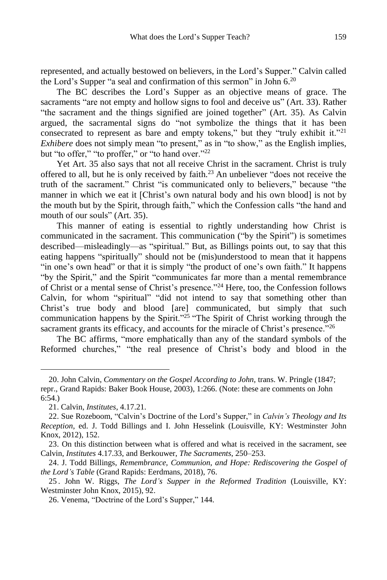represented, and actually bestowed on believers, in the Lord's Supper." Calvin called the Lord's Supper "a seal and confirmation of this sermon" in John 6.<sup>20</sup>

The BC describes the Lord's Supper as an objective means of grace. The sacraments "are not empty and hollow signs to fool and deceive us" (Art. 33). Rather "the sacrament and the things signified are joined together" (Art. 35). As Calvin argued, the sacramental signs do "not symbolize the things that it has been consecrated to represent as bare and empty tokens," but they "truly exhibit it."<sup>21</sup> *Exhibere* does not simply mean "to present," as in "to show," as the English implies, but "to offer," "to proffer," or "to hand over."<sup>22</sup>

Yet Art. 35 also says that not all receive Christ in the sacrament. Christ is truly offered to all, but he is only received by faith.<sup>23</sup> An unbeliever "does not receive the truth of the sacrament." Christ "is communicated only to believers," because "the manner in which we eat it [Christ's own natural body and his own blood] is not by the mouth but by the Spirit, through faith," which the Confession calls "the hand and mouth of our souls" (Art. 35).

This manner of eating is essential to rightly understanding how Christ is communicated in the sacrament. This communication ("by the Spirit") is sometimes described—misleadingly—as "spiritual." But, as Billings points out, to say that this eating happens "spiritually" should not be (mis)understood to mean that it happens "in one's own head" or that it is simply "the product of one's own faith." It happens "by the Spirit," and the Spirit "communicates far more than a mental remembrance of Christ or a mental sense of Christ's presence."<sup>24</sup> Here, too, the Confession follows Calvin, for whom "spiritual" "did not intend to say that something other than Christ's true body and blood [are] communicated, but simply that such communication happens by the Spirit."<sup>25</sup> "The Spirit of Christ working through the sacrament grants its efficacy, and accounts for the miracle of Christ's presence."<sup>26</sup>

The BC affirms, "more emphatically than any of the standard symbols of the Reformed churches," "the real presence of Christ's body and blood in the

<sup>20.</sup> John Calvin, *Commentary on the Gospel According to John,* trans. W. Pringle (1847; repr., Grand Rapids: Baker Book House, 2003), 1:266. (Note: these are comments on John 6:54.)

<sup>21.</sup> Calvin, *Institutes*, 4.17.21.

<sup>22.</sup> Sue Rozeboom, "Calvin's Doctrine of the Lord's Supper," in *Calvin's Theology and Its Reception*, ed. J. Todd Billings and I. John Hesselink (Louisville, KY: Westminster John Knox, 2012), 152.

<sup>23.</sup> On this distinction between what is offered and what is received in the sacrament, see Calvin, *Institutes* 4.17.33, and Berkouwer, *The Sacraments*, 250–253.

<sup>24.</sup> J. Todd Billings, *Remembrance, Communion, and Hope: Rediscovering the Gospel of the Lord's Table* (Grand Rapids: Eerdmans, 2018), 76.

<sup>25</sup> . John W. Riggs, *The Lord's Supper in the Reformed Tradition* (Louisville, KY: Westminster John Knox, 2015), 92.

<sup>26.</sup> Venema, "Doctrine of the Lord's Supper," 144.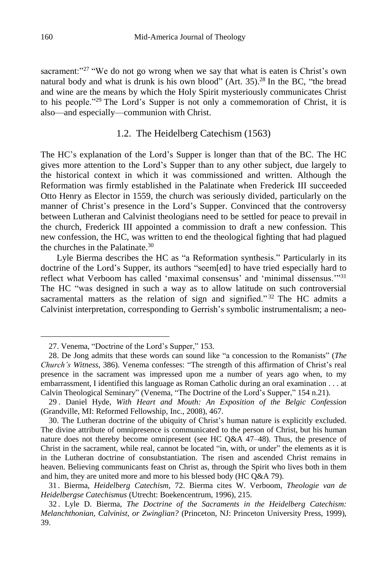sacrament:"27 "We do not go wrong when we say that what is eaten is Christ's own natural body and what is drunk is his own blood" (Art. 35).<sup>28</sup> In the BC, "the bread and wine are the means by which the Holy Spirit mysteriously communicates Christ to his people."<sup>29</sup> The Lord's Supper is not only a commemoration of Christ, it is also—and especially—communion with Christ.

#### 1.2. The Heidelberg Catechism (1563)

The HC's explanation of the Lord's Supper is longer than that of the BC. The HC gives more attention to the Lord's Supper than to any other subject, due largely to the historical context in which it was commissioned and written. Although the Reformation was firmly established in the Palatinate when Frederick III succeeded Otto Henry as Elector in 1559, the church was seriously divided, particularly on the manner of Christ's presence in the Lord's Supper. Convinced that the controversy between Lutheran and Calvinist theologians need to be settled for peace to prevail in the church, Frederick III appointed a commission to draft a new confession. This new confession, the HC, was written to end the theological fighting that had plagued the churches in the Palatinate. $30$ 

Lyle Bierma describes the HC as "a Reformation synthesis." Particularly in its doctrine of the Lord's Supper, its authors "seem[ed] to have tried especially hard to reflect what Verboom has called 'maximal consensus' and 'minimal dissensus.'"<sup>31</sup> The HC "was designed in such a way as to allow latitude on such controversial sacramental matters as the relation of sign and signified."<sup>32</sup> The HC admits a Calvinist interpretation, corresponding to Gerrish's symbolic instrumentalism; a neo-

<sup>27.</sup> Venema, "Doctrine of the Lord's Supper," 153.

<sup>28.</sup> De Jong admits that these words can sound like "a concession to the Romanists" (*The Church's Witness*, 386). Venema confesses: "The strength of this affirmation of Christ's real presence in the sacrament was impressed upon me a number of years ago when, to my embarrassment, I identified this language as Roman Catholic during an oral examination . . . at Calvin Theological Seminary" (Venema, "The Doctrine of the Lord's Supper," 154 n.21).

<sup>29</sup> . Daniel Hyde, *With Heart and Mouth: An Exposition of the Belgic Confession* (Grandville, MI: Reformed Fellowship, Inc., 2008), 467.

<sup>30.</sup> The Lutheran doctrine of the ubiquity of Christ's human nature is explicitly excluded. The divine attribute of omnipresence is communicated to the person of Christ, but his human nature does not thereby become omnipresent (see HC Q&A 47–48). Thus, the presence of Christ in the sacrament, while real, cannot be located "in, with, or under" the elements as it is in the Lutheran doctrine of consubstantiation. The risen and ascended Christ remains in heaven. Believing communicants feast on Christ as, through the Spirit who lives both in them and him, they are united more and more to his blessed body (HC Q&A 79).

<sup>31</sup> . Bierma, *Heidelberg Catechism*, 72. Bierma cites W. Verboom, *Theologie van de Heidelbergse Catechismus* (Utrecht: Boekencentrum, 1996), 215.

<sup>32</sup> . Lyle D. Bierma, *The Doctrine of the Sacraments in the Heidelberg Catechism: Melanchthonian, Calvinist, or Zwinglian?* (Princeton, NJ: Princeton University Press, 1999), 39.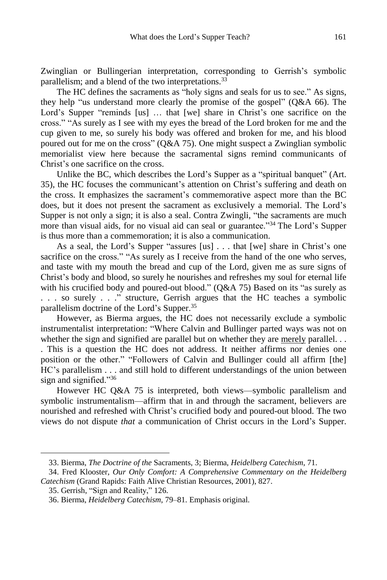Zwinglian or Bullingerian interpretation, corresponding to Gerrish's symbolic parallelism; and a blend of the two interpretations.<sup>33</sup>

The HC defines the sacraments as "holy signs and seals for us to see." As signs, they help "us understand more clearly the promise of the gospel" (Q&A 66). The Lord's Supper "reminds [us] ... that [we] share in Christ's one sacrifice on the cross." "As surely as I see with my eyes the bread of the Lord broken for me and the cup given to me, so surely his body was offered and broken for me, and his blood poured out for me on the cross" (Q&A 75). One might suspect a Zwinglian symbolic memorialist view here because the sacramental signs remind communicants of Christ's one sacrifice on the cross.

Unlike the BC, which describes the Lord's Supper as a "spiritual banquet" (Art. 35), the HC focuses the communicant's attention on Christ's suffering and death on the cross. It emphasizes the sacrament's commemorative aspect more than the BC does, but it does not present the sacrament as exclusively a memorial. The Lord's Supper is not only a sign; it is also a seal. Contra Zwingli, "the sacraments are much more than visual aids, for no visual aid can seal or guarantee."<sup>34</sup> The Lord's Supper is thus more than a commemoration; it is also a communication.

As a seal, the Lord's Supper "assures [us] . . . that [we] share in Christ's one sacrifice on the cross." "As surely as I receive from the hand of the one who serves, and taste with my mouth the bread and cup of the Lord, given me as sure signs of Christ's body and blood, so surely he nourishes and refreshes my soul for eternal life with his crucified body and poured-out blood." (Q&A 75) Based on its "as surely as . . . so surely . . ." structure, Gerrish argues that the HC teaches a symbolic parallelism doctrine of the Lord's Supper.<sup>35</sup>

However, as Bierma argues, the HC does not necessarily exclude a symbolic instrumentalist interpretation: "Where Calvin and Bullinger parted ways was not on whether the sign and signified are parallel but on whether they are merely parallel. . . . This is a question the HC does not address. It neither affirms nor denies one position or the other." "Followers of Calvin and Bullinger could all affirm [the] HC's parallelism . . . and still hold to different understandings of the union between sign and signified."<sup>36</sup>

However HC Q&A 75 is interpreted, both views—symbolic parallelism and symbolic instrumentalism—affirm that in and through the sacrament, believers are nourished and refreshed with Christ's crucified body and poured-out blood. The two views do not dispute *that* a communication of Christ occurs in the Lord's Supper.

<sup>33.</sup> Bierma, *The Doctrine of the* Sacraments, 3; Bierma, *Heidelberg Catechism*, 71.

<sup>34.</sup> Fred Klooster, *Our Only Comfort: A Comprehensive Commentary on the Heidelberg Catechism* (Grand Rapids: Faith Alive Christian Resources, 2001), 827.

<sup>35.</sup> Gerrish, "Sign and Reality," 126.

<sup>36.</sup> Bierma, *Heidelberg Catechism*, 79–81. Emphasis original.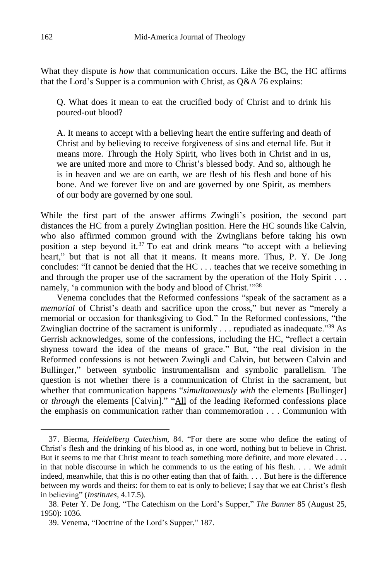What they dispute is *how* that communication occurs. Like the BC, the HC affirms that the Lord's Supper is a communion with Christ, as Q&A 76 explains:

Q. What does it mean to eat the crucified body of Christ and to drink his poured-out blood?

A. It means to accept with a believing heart the entire suffering and death of Christ and by believing to receive forgiveness of sins and eternal life. But it means more. Through the Holy Spirit, who lives both in Christ and in us, we are united more and more to Christ's blessed body. And so, although he is in heaven and we are on earth, we are flesh of his flesh and bone of his bone. And we forever live on and are governed by one Spirit, as members of our body are governed by one soul.

While the first part of the answer affirms Zwingli's position, the second part distances the HC from a purely Zwinglian position. Here the HC sounds like Calvin, who also affirmed common ground with the Zwinglians before taking his own position a step beyond it.<sup>37</sup> To eat and drink means "to accept with a believing heart," but that is not all that it means. It means more. Thus, P. Y. De Jong concludes: "It cannot be denied that the HC . . . teaches that we receive something in and through the proper use of the sacrament by the operation of the Holy Spirit . . . namely, 'a communion with the body and blood of Christ.'"<sup>38</sup>

Venema concludes that the Reformed confessions "speak of the sacrament as a *memorial* of Christ's death and sacrifice upon the cross," but never as "merely a memorial or occasion for thanksgiving to God." In the Reformed confessions, "the Zwinglian doctrine of the sacrament is uniformly . . . repudiated as inadequate."<sup>39</sup> As Gerrish acknowledges, some of the confessions, including the HC, "reflect a certain shyness toward the idea of the means of grace." But, "the real division in the Reformed confessions is not between Zwingli and Calvin, but between Calvin and Bullinger," between symbolic instrumentalism and symbolic parallelism. The question is not whether there is a communication of Christ in the sacrament, but whether that communication happens "*simultaneously with* the elements [Bullinger] or *through* the elements [Calvin]." "All of the leading Reformed confessions place the emphasis on communication rather than commemoration . . . Communion with

<sup>37.</sup> Bierma, *Heidelberg Catechism*, 84. "For there are some who define the eating of Christ's flesh and the drinking of his blood as, in one word, nothing but to believe in Christ. But it seems to me that Christ meant to teach something more definite, and more elevated . . . in that noble discourse in which he commends to us the eating of his flesh. . . . We admit indeed, meanwhile, that this is no other eating than that of faith. . . . But here is the difference between my words and theirs: for them to eat is only to believe; I say that we eat Christ's flesh in believing" (*Institutes*, 4.17.5).

<sup>38.</sup> Peter Y. De Jong, "The Catechism on the Lord's Supper," *The Banner* 85 (August 25, 1950): 1036.

<sup>39.</sup> Venema, "Doctrine of the Lord's Supper," 187.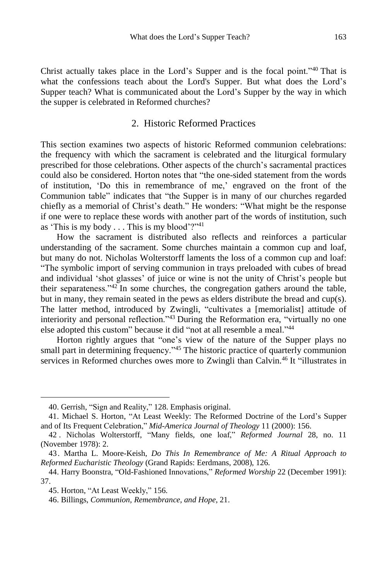Christ actually takes place in the Lord's Supper and is the focal point."<sup>40</sup> That is what the confessions teach about the Lord's Supper. But what does the Lord's Supper teach? What is communicated about the Lord's Supper by the way in which the supper is celebrated in Reformed churches?

# 2. Historic Reformed Practices

This section examines two aspects of historic Reformed communion celebrations: the frequency with which the sacrament is celebrated and the liturgical formulary prescribed for those celebrations. Other aspects of the church's sacramental practices could also be considered. Horton notes that "the one-sided statement from the words of institution, 'Do this in remembrance of me,' engraved on the front of the Communion table" indicates that "the Supper is in many of our churches regarded chiefly as a memorial of Christ's death." He wonders: "What might be the response if one were to replace these words with another part of the words of institution, such as 'This is my body  $\dots$  This is my blood'?"<sup>41</sup>

How the sacrament is distributed also reflects and reinforces a particular understanding of the sacrament. Some churches maintain a common cup and loaf, but many do not. Nicholas Wolterstorff laments the loss of a common cup and loaf: "The symbolic import of serving communion in trays preloaded with cubes of bread and individual 'shot glasses' of juice or wine is not the unity of Christ's people but their separateness."<sup>42</sup> In some churches, the congregation gathers around the table, but in many, they remain seated in the pews as elders distribute the bread and cup(s). The latter method, introduced by Zwingli, "cultivates a [memorialist] attitude of interiority and personal reflection."<sup>43</sup> During the Reformation era, "virtually no one else adopted this custom" because it did "not at all resemble a meal."<sup>44</sup>

Horton rightly argues that "one's view of the nature of the Supper plays no small part in determining frequency."<sup>45</sup> The historic practice of quarterly communion services in Reformed churches owes more to Zwingli than Calvin.<sup>46</sup> It "illustrates in

<sup>40.</sup> Gerrish, "Sign and Reality," 128. Emphasis original.

<sup>41.</sup> Michael S. Horton, "At Least Weekly: The Reformed Doctrine of the Lord's Supper and of Its Frequent Celebration," *Mid-America Journal of Theology* 11 (2000): 156.

<sup>42</sup> . Nicholas Wolterstorff, "Many fields, one loaf," *Reformed Journal* 28, no. 11 (November 1978): 2.

<sup>43.</sup> Martha L. Moore-Keish, *Do This In Remembrance of Me: A Ritual Approach to Reformed Eucharistic Theology* (Grand Rapids: Eerdmans, 2008), 126.

<sup>44.</sup> Harry Boonstra, "Old-Fashioned Innovations," *Reformed Worship* 22 (December 1991): 37.

<sup>45.</sup> Horton, "At Least Weekly," 156.

<sup>46.</sup> Billings, *Communion, Remembrance, and Hope*, 21.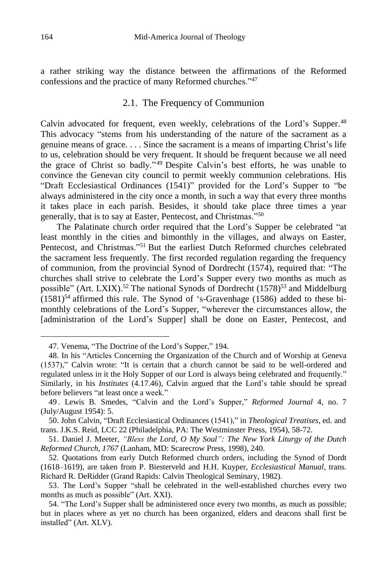a rather striking way the distance between the affirmations of the Reformed confessions and the practice of many Reformed churches."<sup>47</sup>

#### 2.1. The Frequency of Communion

Calvin advocated for frequent, even weekly, celebrations of the Lord's Supper.<sup>48</sup> This advocacy "stems from his understanding of the nature of the sacrament as a genuine means of grace. . . . Since the sacrament is a means of imparting Christ's life to us, celebration should be very frequent. It should be frequent because we all need the grace of Christ so badly."<sup>49</sup> Despite Calvin's best efforts, he was unable to convince the Genevan city council to permit weekly communion celebrations. His "Draft Ecclesiastical Ordinances (1541)" provided for the Lord's Supper to "be always administered in the city once a month, in such a way that every three months it takes place in each parish. Besides, it should take place three times a year generally, that is to say at Easter, Pentecost, and Christmas."<sup>50</sup>

The Palatinate church order required that the Lord's Supper be celebrated "at least monthly in the cities and bimonthly in the villages, and always on Easter, Pentecost, and Christmas."<sup>51</sup> But the earliest Dutch Reformed churches celebrated the sacrament less frequently. The first recorded regulation regarding the frequency of communion, from the provincial Synod of Dordrecht (1574), required that: "The churches shall strive to celebrate the Lord's Supper every two months as much as possible" (Art. LXIX).<sup>52</sup> The national Synods of Dordrecht (1578)<sup>53</sup> and Middelburg  $(1581)^{54}$  affirmed this rule. The Synod of 's-Gravenhage (1586) added to these bimonthly celebrations of the Lord's Supper, "wherever the circumstances allow, the [administration of the Lord's Supper] shall be done on Easter, Pentecost, and

<sup>47.</sup> Venema, "The Doctrine of the Lord's Supper," 194.

<sup>48.</sup> In his "Articles Concerning the Organization of the Church and of Worship at Geneva (1537)," Calvin wrote: "It is certain that a church cannot be said to be well-ordered and regulated unless in it the Holy Supper of our Lord is always being celebrated and frequently." Similarly, in his *Institutes* (4.17.46), Calvin argued that the Lord's table should be spread before believers "at least once a week."

<sup>49</sup> . Lewis B. Smedes, "Calvin and the Lord's Supper," *Reformed Journal* 4, no. 7 (July/August 1954): 5.

<sup>50.</sup> John Calvin, "Draft Ecclesiastical Ordinances (1541)," in *Theological Treatises,* ed. and trans. J.K.S. Reid, LCC 22 (Philadelphia, PA: The Westminster Press, 1954), 58-72.

<sup>51.</sup> Daniel J. Meeter, *"Bless the Lord, O My Soul": The New York Liturgy of the Dutch Reformed Church, 1767* (Lanham, MD: Scarecrow Press, 1998), 240.

<sup>52.</sup> Quotations from early Dutch Reformed church orders, including the Synod of Dordt (1618–1619), are taken from P. Biesterveld and H.H. Kuyper, *Ecclesiastical Manual*, trans. Richard R. DeRidder (Grand Rapids: Calvin Theological Seminary, 1982).

<sup>53.</sup> The Lord's Supper "shall be celebrated in the well-established churches every two months as much as possible" (Art. XXI).

<sup>54.</sup> "The Lord's Supper shall be administered once every two months, as much as possible; but in places where as yet no church has been organized, elders and deacons shall first be installed" (Art. XLV).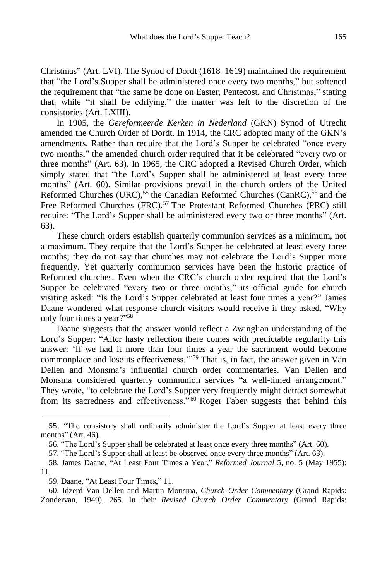Christmas" (Art. LVI). The Synod of Dordt (1618–1619) maintained the requirement that "the Lord's Supper shall be administered once every two months," but softened the requirement that "the same be done on Easter, Pentecost, and Christmas," stating that, while "it shall be edifying," the matter was left to the discretion of the consistories (Art. LXIII).

In 1905, the *Gereformeerde Kerken in Nederland* (GKN) Synod of Utrecht amended the Church Order of Dordt. In 1914, the CRC adopted many of the GKN's amendments. Rather than require that the Lord's Supper be celebrated "once every two months," the amended church order required that it be celebrated "every two or three months" (Art. 63). In 1965, the CRC adopted a Revised Church Order, which simply stated that "the Lord's Supper shall be administered at least every three months" (Art. 60). Similar provisions prevail in the church orders of the United Reformed Churches (URC),<sup>55</sup> the Canadian Reformed Churches (CanRC),<sup>56</sup> and the Free Reformed Churches (FRC).<sup>57</sup> The Protestant Reformed Churches (PRC) still require: "The Lord's Supper shall be administered every two or three months" (Art. 63).

These church orders establish quarterly communion services as a minimum, not a maximum. They require that the Lord's Supper be celebrated at least every three months; they do not say that churches may not celebrate the Lord's Supper more frequently. Yet quarterly communion services have been the historic practice of Reformed churches. Even when the CRC's church order required that the Lord's Supper be celebrated "every two or three months," its official guide for church visiting asked: "Is the Lord's Supper celebrated at least four times a year?" James Daane wondered what response church visitors would receive if they asked, "Why only four times a year?"<sup>58</sup>

Daane suggests that the answer would reflect a Zwinglian understanding of the Lord's Supper: "After hasty reflection there comes with predictable regularity this answer: 'If we had it more than four times a year the sacrament would become commonplace and lose its effectiveness.'"<sup>59</sup> That is, in fact, the answer given in Van Dellen and Monsma's influential church order commentaries. Van Dellen and Monsma considered quarterly communion services "a well-timed arrangement." They wrote, "to celebrate the Lord's Supper very frequently might detract somewhat from its sacredness and effectiveness."<sup>60</sup> Roger Faber suggests that behind this

<sup>55.</sup> "The consistory shall ordinarily administer the Lord's Supper at least every three months" (Art. 46).

<sup>56.</sup> "The Lord's Supper shall be celebrated at least once every three months" (Art. 60).

<sup>57.</sup> "The Lord's Supper shall at least be observed once every three months" (Art. 63).

<sup>58.</sup> James Daane, "At Least Four Times a Year," *Reformed Journal* 5, no. 5 (May 1955): 11.

<sup>59.</sup> Daane, "At Least Four Times," 11.

<sup>60.</sup> Idzerd Van Dellen and Martin Monsma, *Church Order Commentary* (Grand Rapids: Zondervan, 1949), 265. In their *Revised Church Order Commentary* (Grand Rapids: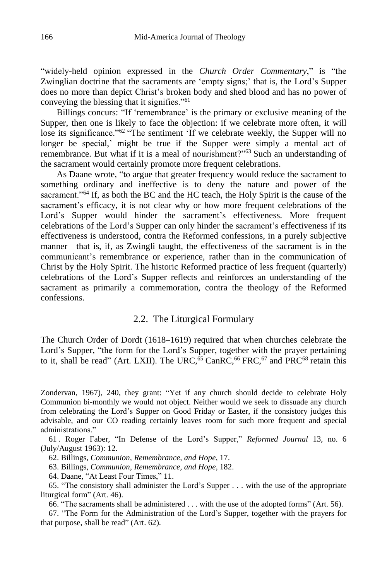"widely-held opinion expressed in the *Church Order Commentary*," is "the Zwinglian doctrine that the sacraments are 'empty signs;' that is, the Lord's Supper does no more than depict Christ's broken body and shed blood and has no power of conveying the blessing that it signifies."<sup>61</sup>

Billings concurs: "If 'remembrance' is the primary or exclusive meaning of the Supper, then one is likely to face the objection: if we celebrate more often, it will lose its significance."<sup>62</sup> "The sentiment 'If we celebrate weekly, the Supper will no longer be special,' might be true if the Supper were simply a mental act of remembrance. But what if it is a meal of nourishment?"<sup>63</sup> Such an understanding of the sacrament would certainly promote more frequent celebrations.

As Daane wrote, "to argue that greater frequency would reduce the sacrament to something ordinary and ineffective is to deny the nature and power of the sacrament."<sup>64</sup> If, as both the BC and the HC teach, the Holy Spirit is the cause of the sacrament's efficacy, it is not clear why or how more frequent celebrations of the Lord's Supper would hinder the sacrament's effectiveness. More frequent celebrations of the Lord's Supper can only hinder the sacrament's effectiveness if its effectiveness is understood, contra the Reformed confessions, in a purely subjective manner—that is, if, as Zwingli taught, the effectiveness of the sacrament is in the communicant's remembrance or experience, rather than in the communication of Christ by the Holy Spirit. The historic Reformed practice of less frequent (quarterly) celebrations of the Lord's Supper reflects and reinforces an understanding of the sacrament as primarily a commemoration, contra the theology of the Reformed confessions.

### 2.2. The Liturgical Formulary

The Church Order of Dordt (1618–1619) required that when churches celebrate the Lord's Supper, "the form for the Lord's Supper, together with the prayer pertaining to it, shall be read" (Art. LXII). The URC,  $65$  CanRC,  $66$  FRC,  $67$  and PRC $68$  retain this

63. Billings, *Communion, Remembrance, and Hope*, 182.

64. Daane, "At Least Four Times," 11.

Zondervan, 1967), 240, they grant: "Yet if any church should decide to celebrate Holy Communion bi-monthly we would not object. Neither would we seek to dissuade any church from celebrating the Lord's Supper on Good Friday or Easter, if the consistory judges this advisable, and our CO reading certainly leaves room for such more frequent and special administrations."

<sup>61</sup> . Roger Faber, "In Defense of the Lord's Supper," *Reformed Journal* 13, no. 6 (July/August 1963): 12.

<sup>62.</sup> Billings, *Communion, Remembrance, and Hope*, 17.

<sup>65.</sup> "The consistory shall administer the Lord's Supper . . . with the use of the appropriate liturgical form" (Art. 46).

<sup>66.</sup> "The sacraments shall be administered . . . with the use of the adopted forms" (Art. 56).

<sup>67.</sup> "The Form for the Administration of the Lord's Supper, together with the prayers for that purpose, shall be read" (Art. 62).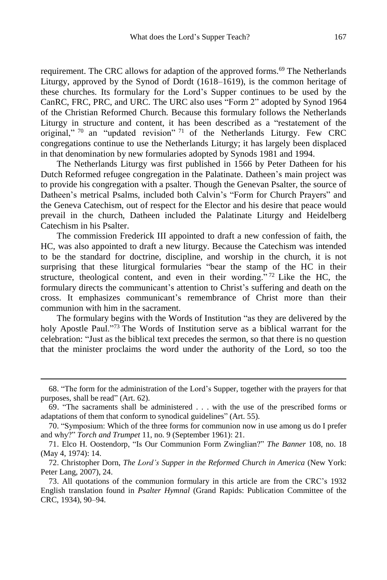requirement. The CRC allows for adaption of the approved forms.<sup>69</sup> The Netherlands Liturgy, approved by the Synod of Dordt (1618–1619), is the common heritage of these churches. Its formulary for the Lord's Supper continues to be used by the CanRC, FRC, PRC, and URC. The URC also uses "Form 2" adopted by Synod 1964 of the Christian Reformed Church. Because this formulary follows the Netherlands Liturgy in structure and content, it has been described as a "restatement of the original," 70 an "updated revision" 71 of the Netherlands Liturgy. Few CRC congregations continue to use the Netherlands Liturgy; it has largely been displaced in that denomination by new formularies adopted by Synods 1981 and 1994.

The Netherlands Liturgy was first published in 1566 by Peter Datheen for his Dutch Reformed refugee congregation in the Palatinate. Datheen's main project was to provide his congregation with a psalter. Though the Genevan Psalter, the source of Datheen's metrical Psalms, included both Calvin's "Form for Church Prayers" and the Geneva Catechism, out of respect for the Elector and his desire that peace would prevail in the church, Datheen included the Palatinate Liturgy and Heidelberg Catechism in his Psalter.

The commission Frederick III appointed to draft a new confession of faith, the HC, was also appointed to draft a new liturgy. Because the Catechism was intended to be the standard for doctrine, discipline, and worship in the church, it is not surprising that these liturgical formularies "bear the stamp of the HC in their structure, theological content, and even in their wording."<sup>72</sup> Like the HC, the formulary directs the communicant's attention to Christ's suffering and death on the cross. It emphasizes communicant's remembrance of Christ more than their communion with him in the sacrament.

The formulary begins with the Words of Institution "as they are delivered by the holy Apostle Paul."73 The Words of Institution serve as a biblical warrant for the celebration: "Just as the biblical text precedes the sermon, so that there is no question that the minister proclaims the word under the authority of the Lord, so too the

<sup>68.</sup> "The form for the administration of the Lord's Supper, together with the prayers for that purposes, shall be read" (Art. 62).

<sup>69.</sup> "The sacraments shall be administered . . . with the use of the prescribed forms or adaptations of them that conform to synodical guidelines" (Art. 55).

<sup>70.</sup> "Symposium: Which of the three forms for communion now in use among us do I prefer and why?" *Torch and Trumpet* 11, no. 9 (September 1961): 21.

<sup>71.</sup> Elco H. Oostendorp, "Is Our Communion Form Zwinglian?" *The Banner* 108, no. 18 (May 4, 1974): 14.

<sup>72.</sup> Christopher Dorn, *The Lord's Supper in the Reformed Church in America* (New York: Peter Lang, 2007), 24.

<sup>73.</sup> All quotations of the communion formulary in this article are from the CRC's 1932 English translation found in *Psalter Hymnal* (Grand Rapids: Publication Committee of the CRC, 1934), 90–94.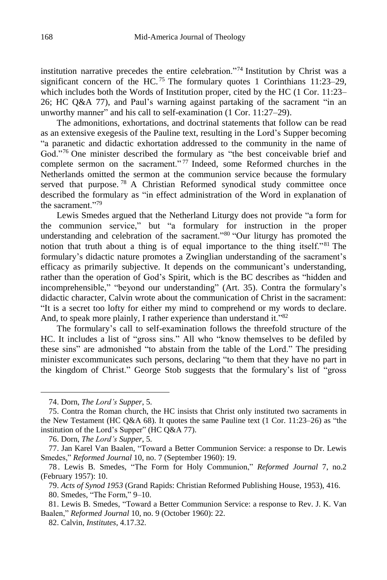institution narrative precedes the entire celebration."<sup>74</sup> Institution by Christ was a significant concern of the HC.<sup>75</sup> The formulary quotes 1 Corinthians 11:23–29, which includes both the Words of Institution proper, cited by the HC (1 Cor. 11:23– 26; HC Q&A 77), and Paul's warning against partaking of the sacrament "in an unworthy manner" and his call to self-examination (1 Cor. 11:27–29).

The admonitions, exhortations, and doctrinal statements that follow can be read as an extensive exegesis of the Pauline text, resulting in the Lord's Supper becoming "a paranetic and didactic exhortation addressed to the community in the name of God."<sup>76</sup> One minister described the formulary as "the best conceivable brief and complete sermon on the sacrament."<sup>77</sup> Indeed, some Reformed churches in the Netherlands omitted the sermon at the communion service because the formulary served that purpose.<sup>78</sup> A Christian Reformed synodical study committee once described the formulary as "in effect administration of the Word in explanation of the sacrament<sup>"79</sup>

Lewis Smedes argued that the Netherland Liturgy does not provide "a form for the communion service," but "a formulary for instruction in the proper understanding and celebration of the sacrament."<sup>80</sup> "Our liturgy has promoted the notion that truth about a thing is of equal importance to the thing itself."<sup>81</sup> The formulary's didactic nature promotes a Zwinglian understanding of the sacrament's efficacy as primarily subjective. It depends on the communicant's understanding, rather than the operation of God's Spirit, which is the BC describes as "hidden and incomprehensible," "beyond our understanding" (Art. 35). Contra the formulary's didactic character, Calvin wrote about the communication of Christ in the sacrament: "It is a secret too lofty for either my mind to comprehend or my words to declare. And, to speak more plainly, I rather experience than understand it."82

The formulary's call to self-examination follows the threefold structure of the HC. It includes a list of "gross sins." All who "know themselves to be defiled by these sins" are admonished "to abstain from the table of the Lord." The presiding minister excommunicates such persons, declaring "to them that they have no part in the kingdom of Christ." George Stob suggests that the formulary's list of "gross

<sup>74.</sup> Dorn, *The Lord's Supper*, 5.

<sup>75.</sup> Contra the Roman church, the HC insists that Christ only instituted two sacraments in the New Testament (HC  $Q&A$  68). It quotes the same Pauline text (1 Cor. 11:23–26) as "the institution of the Lord's Supper" (HC Q&A 77).

<sup>76.</sup> Dorn, *The Lord's Supper*, 5.

<sup>77.</sup> Jan Karel Van Baalen, "Toward a Better Communion Service: a response to Dr. Lewis Smedes," *Reformed Journal* 10, no. 7 (September 1960): 19.

<sup>78.</sup> Lewis B. Smedes, "The Form for Holy Communion," *Reformed Journal* 7, no.2 (February 1957): 10.

<sup>79.</sup> *Acts of Synod 1953* (Grand Rapids: Christian Reformed Publishing House, 1953), 416. 80. Smedes, "The Form," 9–10.

<sup>81.</sup> Lewis B. Smedes, "Toward a Better Communion Service: a response to Rev. J. K. Van Baalen," *Reformed Journal* 10, no. 9 (October 1960): 22.

<sup>82.</sup> Calvin, *Institutes*, 4.17.32.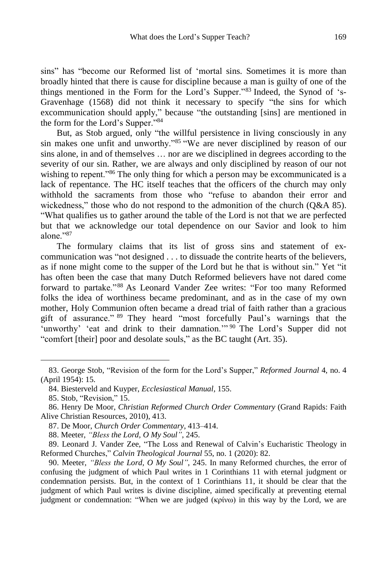sins" has "become our Reformed list of 'mortal sins. Sometimes it is more than broadly hinted that there is cause for discipline because a man is guilty of one of the things mentioned in the Form for the Lord's Supper."<sup>83</sup> Indeed, the Synod of 's-Gravenhage (1568) did not think it necessary to specify "the sins for which excommunication should apply," because "the outstanding [sins] are mentioned in the form for the Lord's Supper."<sup>84</sup>

But, as Stob argued, only "the willful persistence in living consciously in any sin makes one unfit and unworthy."<sup>85</sup> "We are never disciplined by reason of our sins alone, in and of themselves … nor are we disciplined in degrees according to the severity of our sin. Rather, we are always and only disciplined by reason of our not wishing to repent."<sup>86</sup> The only thing for which a person may be excommunicated is a lack of repentance. The HC itself teaches that the officers of the church may only withhold the sacraments from those who "refuse to abandon their error and wickedness," those who do not respond to the admonition of the church (Q&A 85). "What qualifies us to gather around the table of the Lord is not that we are perfected but that we acknowledge our total dependence on our Savior and look to him alone<sup>"87</sup>

The formulary claims that its list of gross sins and statement of excommunication was "not designed . . . to dissuade the contrite hearts of the believers, as if none might come to the supper of the Lord but he that is without sin." Yet "it has often been the case that many Dutch Reformed believers have not dared come forward to partake."<sup>88</sup> As Leonard Vander Zee writes: "For too many Reformed folks the idea of worthiness became predominant, and as in the case of my own mother, Holy Communion often became a dread trial of faith rather than a gracious gift of assurance." <sup>89</sup> They heard "most forcefully Paul's warnings that the 'unworthy' 'eat and drink to their damnation.'" <sup>90</sup> The Lord's Supper did not "comfort [their] poor and desolate souls," as the BC taught (Art. 35).

<sup>83.</sup> George Stob, "Revision of the form for the Lord's Supper," *Reformed Journal* 4, no. 4 (April 1954): 15.

<sup>84.</sup> Biesterveld and Kuyper, *Ecclesiastical Manual*, 155.

<sup>85.</sup> Stob, "Revision," 15.

<sup>86.</sup> Henry De Moor, *Christian Reformed Church Order Commentary* (Grand Rapids: Faith Alive Christian Resources, 2010), 413.

<sup>87.</sup> De Moor, *Church Order Commentary*, 413–414.

<sup>88.</sup> Meeter, *"Bless the Lord, O My Soul"*, 245.

<sup>89.</sup> Leonard J. Vander Zee, "The Loss and Renewal of Calvin's Eucharistic Theology in Reformed Churches," *Calvin Theological Journal* 55, no. 1 (2020): 82.

<sup>90.</sup> Meeter, *"Bless the Lord, O My Soul"*, 245. In many Reformed churches, the error of confusing the judgment of which Paul writes in 1 Corinthians 11 with eternal judgment or condemnation persists. But, in the context of 1 Corinthians 11, it should be clear that the judgment of which Paul writes is divine discipline, aimed specifically at preventing eternal judgment or condemnation: "When we are judged (κρίνω) in this way by the Lord, we are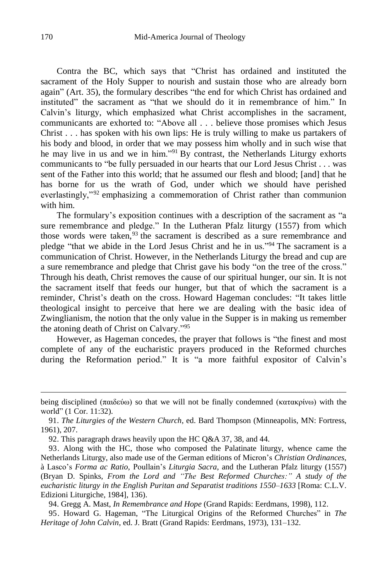Contra the BC, which says that "Christ has ordained and instituted the sacrament of the Holy Supper to nourish and sustain those who are already born again" (Art. 35), the formulary describes "the end for which Christ has ordained and instituted" the sacrament as "that we should do it in remembrance of him." In Calvin's liturgy, which emphasized what Christ accomplishes in the sacrament, communicants are exhorted to: "Above all . . . believe those promises which Jesus Christ . . . has spoken with his own lips: He is truly willing to make us partakers of his body and blood, in order that we may possess him wholly and in such wise that he may live in us and we in him."<sup>91</sup> By contrast, the Netherlands Liturgy exhorts communicants to "be fully persuaded in our hearts that our Lord Jesus Christ . . . was sent of the Father into this world; that he assumed our flesh and blood; [and] that he has borne for us the wrath of God, under which we should have perished everlastingly,"<sup>92</sup> emphasizing a commemoration of Christ rather than communion with him.

The formulary's exposition continues with a description of the sacrament as "a sure remembrance and pledge." In the Lutheran Pfalz liturgy (1557) from which those words were taken,  $93$  the sacrament is described as a sure remembrance and pledge "that we abide in the Lord Jesus Christ and he in us."<sup>94</sup> The sacrament is a communication of Christ. However, in the Netherlands Liturgy the bread and cup are a sure remembrance and pledge that Christ gave his body "on the tree of the cross." Through his death, Christ removes the cause of our spiritual hunger, our sin. It is not the sacrament itself that feeds our hunger, but that of which the sacrament is a reminder, Christ's death on the cross. Howard Hageman concludes: "It takes little theological insight to perceive that here we are dealing with the basic idea of Zwinglianism, the notion that the only value in the Supper is in making us remember the atoning death of Christ on Calvary."<sup>95</sup>

However, as Hageman concedes, the prayer that follows is "the finest and most complete of any of the eucharistic prayers produced in the Reformed churches during the Reformation period." It is "a more faithful expositor of Calvin's

94. Gregg A. Mast, *In Remembrance and Hope* (Grand Rapids: Eerdmans, 1998), 112.

being disciplined (παιδεύω) so that we will not be finally condemned (κατακρίνω) with the world" (1 Cor. 11:32).

<sup>91.</sup> *The Liturgies of the Western Church*, ed. Bard Thompson (Minneapolis, MN: Fortress, 1961), 207.

<sup>92.</sup> This paragraph draws heavily upon the HC Q&A 37, 38, and 44.

<sup>93.</sup> Along with the HC, those who composed the Palatinate liturgy, whence came the Netherlands Liturgy, also made use of the German editions of Micron's *Christian Ordinances*, à Lasco's *Forma ac Ratio*, Poullain's *Liturgia Sacra*, and the Lutheran Pfalz liturgy (1557) (Bryan D. Spinks, *From the Lord and "The Best Reformed Churches:" A study of the eucharistic liturgy in the English Puritan and Separatist traditions 1550–1633* [Roma: C.L.V. Edizioni Liturgiche, 1984], 136).

<sup>95.</sup> Howard G. Hageman, "The Liturgical Origins of the Reformed Churches" in *The Heritage of John Calvin*, ed. J. Bratt (Grand Rapids: Eerdmans, 1973), 131–132.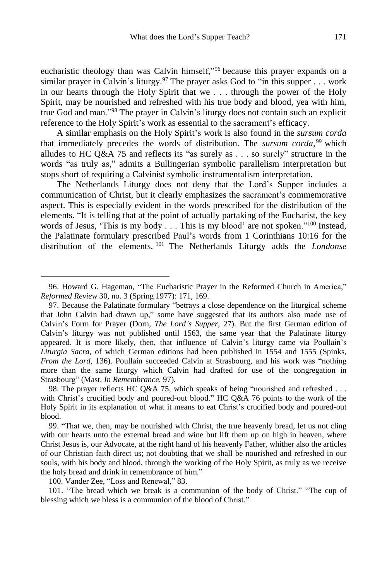eucharistic theology than was Calvin himself,"<sup>96</sup> because this prayer expands on a similar prayer in Calvin's liturgy.<sup>97</sup> The prayer asks God to "in this supper . . . work in our hearts through the Holy Spirit that we . . . through the power of the Holy Spirit, may be nourished and refreshed with his true body and blood, yea with him, true God and man."<sup>98</sup> The prayer in Calvin's liturgy does not contain such an explicit reference to the Holy Spirit's work as essential to the sacrament's efficacy.

A similar emphasis on the Holy Spirit's work is also found in the *sursum corda* that immediately precedes the words of distribution. The *sursum corda*, <sup>99</sup> which alludes to HC Q&A 75 and reflects its "as surely as . . . so surely" structure in the words "as truly as," admits a Bullingerian symbolic parallelism interpretation but stops short of requiring a Calvinist symbolic instrumentalism interpretation.

The Netherlands Liturgy does not deny that the Lord's Supper includes a communication of Christ, but it clearly emphasizes the sacrament's commemorative aspect. This is especially evident in the words prescribed for the distribution of the elements. "It is telling that at the point of actually partaking of the Eucharist, the key words of Jesus, 'This is my body . . . This is my blood' are not spoken."<sup>100</sup> Instead, the Palatinate formulary prescribed Paul's words from 1 Corinthians 10:16 for the distribution of the elements. <sup>101</sup> The Netherlands Liturgy adds the *Londonse*

100. Vander Zee, "Loss and Renewal," 83.

 $\overline{a}$ 

101. "The bread which we break is a communion of the body of Christ." "The cup of blessing which we bless is a communion of the blood of Christ."

<sup>96.</sup> Howard G. Hageman, "The Eucharistic Prayer in the Reformed Church in America," *Reformed Review* 30, no. 3 (Spring 1977): 171, 169.

<sup>97.</sup> Because the Palatinate formulary "betrays a close dependence on the liturgical scheme that John Calvin had drawn up," some have suggested that its authors also made use of Calvin's Form for Prayer (Dorn, *The Lord's Supper*, 27). But the first German edition of Calvin's liturgy was not published until 1563, the same year that the Palatinate liturgy appeared. It is more likely, then, that influence of Calvin's liturgy came via Poullain's *Liturgia Sacra*, of which German editions had been published in 1554 and 1555 (Spinks, *From the Lord*, 136). Poullain succeeded Calvin at Strasbourg, and his work was "nothing more than the same liturgy which Calvin had drafted for use of the congregation in Strasbourg" (Mast, *In Remembrance*, 97).

<sup>98.</sup> The prayer reflects HC Q&A 75, which speaks of being "nourished and refreshed . . . with Christ's crucified body and poured-out blood." HC Q&A 76 points to the work of the Holy Spirit in its explanation of what it means to eat Christ's crucified body and poured-out blood.

<sup>99.</sup> "That we, then, may be nourished with Christ, the true heavenly bread, let us not cling with our hearts unto the external bread and wine but lift them up on high in heaven, where Christ Jesus is, our Advocate, at the right hand of his heavenly Father, whither also the articles of our Christian faith direct us; not doubting that we shall be nourished and refreshed in our souls, with his body and blood, through the working of the Holy Spirit, as truly as we receive the holy bread and drink in remembrance of him."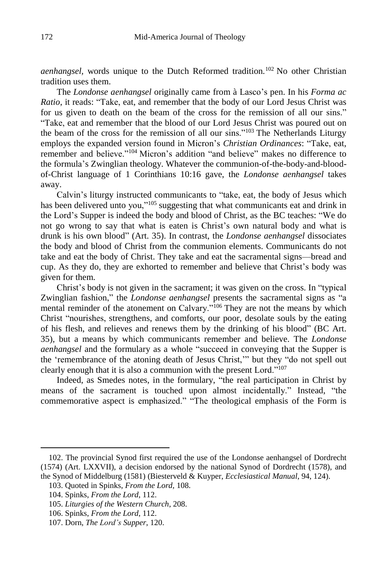*aenhangsel,* words unique to the Dutch Reformed tradition.<sup>102</sup> No other Christian tradition uses them.

The *Londonse aenhangsel* originally came from à Lasco's pen. In his *Forma ac Ratio*, it reads: "Take, eat, and remember that the body of our Lord Jesus Christ was for us given to death on the beam of the cross for the remission of all our sins." "Take, eat and remember that the blood of our Lord Jesus Christ was poured out on the beam of the cross for the remission of all our sins."<sup>103</sup> The Netherlands Liturgy employs the expanded version found in Micron's *Christian Ordinances*: "Take, eat, remember and believe."<sup>104</sup> Micron's addition "and believe" makes no difference to the formula's Zwinglian theology. Whatever the communion-of-the-body-and-bloodof-Christ language of 1 Corinthians 10:16 gave, the *Londonse aenhangsel* takes away.

Calvin's liturgy instructed communicants to "take, eat, the body of Jesus which has been delivered unto you,"<sup>105</sup> suggesting that what communicants eat and drink in the Lord's Supper is indeed the body and blood of Christ, as the BC teaches: "We do not go wrong to say that what is eaten is Christ's own natural body and what is drunk is his own blood" (Art. 35). In contrast, the *Londonse aenhangsel* dissociates the body and blood of Christ from the communion elements. Communicants do not take and eat the body of Christ. They take and eat the sacramental signs—bread and cup. As they do, they are exhorted to remember and believe that Christ's body was given for them.

Christ's body is not given in the sacrament; it was given on the cross. In "typical Zwinglian fashion," the *Londonse aenhangsel* presents the sacramental signs as "a mental reminder of the atonement on Calvary."<sup>106</sup> They are not the means by which Christ "nourishes, strengthens, and comforts, our poor, desolate souls by the eating of his flesh, and relieves and renews them by the drinking of his blood" (BC Art. 35), but a means by which communicants remember and believe. The *Londonse aenhangsel* and the formulary as a whole "succeed in conveying that the Supper is the 'remembrance of the atoning death of Jesus Christ,'" but they "do not spell out clearly enough that it is also a communion with the present Lord."<sup>107</sup>

Indeed, as Smedes notes, in the formulary, "the real participation in Christ by means of the sacrament is touched upon almost incidentally." Instead, "the commemorative aspect is emphasized." "The theological emphasis of the Form is

<sup>102.</sup> The provincial Synod first required the use of the Londonse aenhangsel of Dordrecht (1574) (Art. LXXVII), a decision endorsed by the national Synod of Dordrecht (1578), and the Synod of Middelburg (1581) (Biesterveld & Kuyper, *Ecclesiastical Manual*, 94, 124).

<sup>103.</sup> Quoted in Spinks, *From the Lord,* 108.

<sup>104.</sup> Spinks, *From the Lord*, 112.

<sup>105.</sup> *Liturgies of the Western Church*, 208.

<sup>106.</sup> Spinks, *From the Lord*, 112.

<sup>107.</sup> Dorn, *The Lord's Supper*, 120.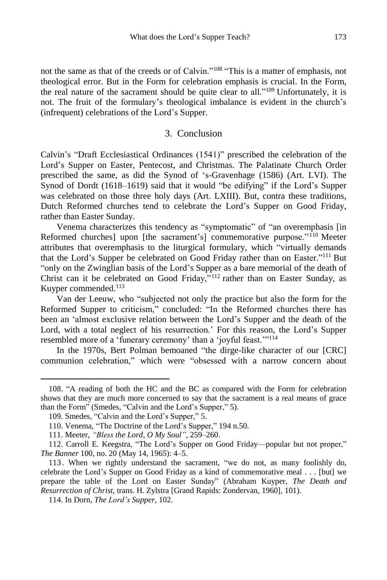not the same as that of the creeds or of Calvin."<sup>108</sup> "This is a matter of emphasis, not theological error. But in the Form for celebration emphasis is crucial. In the Form, the real nature of the sacrament should be quite clear to all."<sup>109</sup> Unfortunately, it is not. The fruit of the formulary's theological imbalance is evident in the church's (infrequent) celebrations of the Lord's Supper.

# 3. Conclusion

Calvin's "Draft Ecclesiastical Ordinances (1541)" prescribed the celebration of the Lord's Supper on Easter, Pentecost, and Christmas. The Palatinate Church Order prescribed the same, as did the Synod of 's-Gravenhage (1586) (Art. LVI). The Synod of Dordt (1618–1619) said that it would "be edifying" if the Lord's Supper was celebrated on those three holy days (Art. LXIII). But, contra these traditions, Dutch Reformed churches tend to celebrate the Lord's Supper on Good Friday, rather than Easter Sunday.

Venema characterizes this tendency as "symptomatic" of "an overemphasis [in Reformed churches] upon [the sacrament's] commemorative purpose."<sup>110</sup> Meeter attributes that overemphasis to the liturgical formulary, which "virtually demands that the Lord's Supper be celebrated on Good Friday rather than on Easter."<sup>111</sup> But "only on the Zwinglian basis of the Lord's Supper as a bare memorial of the death of Christ can it be celebrated on Good Friday,"<sup>112</sup> rather than on Easter Sunday, as Kuyper commended.<sup>113</sup>

Van der Leeuw, who "subjected not only the practice but also the form for the Reformed Supper to criticism," concluded: "In the Reformed churches there has been an 'almost exclusive relation between the Lord's Supper and the death of the Lord, with a total neglect of his resurrection.' For this reason, the Lord's Supper resembled more of a 'funerary ceremony' than a 'joyful feast.'"<sup>114</sup>

In the 1970s, Bert Polman bemoaned "the dirge-like character of our [CRC] communion celebration," which were "obsessed with a narrow concern about

<sup>108.</sup> "A reading of both the HC and the BC as compared with the Form for celebration shows that they are much more concerned to say that the sacrament is a real means of grace than the Form" (Smedes, "Calvin and the Lord's Supper," 5).

<sup>109.</sup> Smedes, "Calvin and the Lord's Supper," 5.

<sup>110.</sup> Venema, "The Doctrine of the Lord's Supper," 194 n.50.

<sup>111.</sup> Meeter, *"Bless the Lord, O My Soul"*, 259–260.

<sup>112.</sup> Carroll E. Keegstra, "The Lord's Supper on Good Friday—popular but not proper," *The Banner* 100, no. 20 (May 14, 1965): 4–5.

<sup>113</sup> . When we rightly understand the sacrament, "we do not, as many foolishly do, celebrate the Lord's Supper on Good Friday as a kind of commemorative meal . . . [but] we prepare the table of the Lord on Easter Sunday" (Abraham Kuyper, *The Death and Resurrection of Christ*, trans. H. Zylstra [Grand Rapids: Zondervan, 1960], 101).

<sup>114.</sup> In Dorn, *The Lord's Supper*, 102.